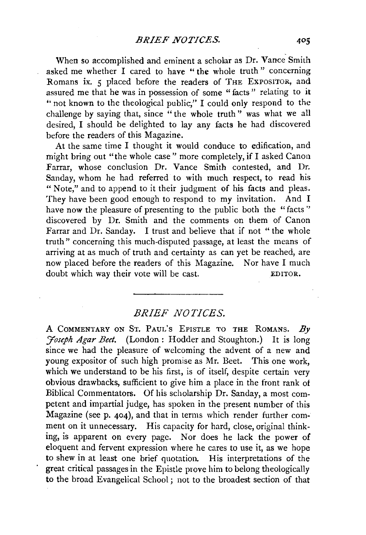When so accomplished and eminent a scholar as Dr. Vance Smith asked me whether I cared to have "the whole truth" concerning Romans ix. 5 placed before the readers of THE EXPOSITOR, and assured me that he was in possession of some "facts" relating to it "not known to the theological public," I could only respond to the challenge by saying that, since "the whole truth" was what we all desired, I should be delighted to lay any facts he had discovered before the readers of this Magazine.

At the same time I thought it would conduce to edification, and might bring out "the whole case" more completely, if I asked Canon Farrar, whose conclusion Dr. Vance Smith contested, and Dr. Sanday, whom he had referred to with much respect, to read his " Note," and to append to it their judgment of his facts and pleas. They have been good enough to respond to my invitation. And I have now the pleasure of presenting to the public both the "facts" discovered by Dr. Smith and the comments on them of Canon Farrar and Dr. Sanday. I trust and believe that if not "the whole truth" concerning this much-disputed passage, at least the means of arriving at as much of truth and certainty as can yet be reached, are now placed before the readers of this Magazine. Nor have I much doubt which way their vote will be cast. EDITOR.

## *BRIEF NOTICES.*

A COMMENTARY ON ST. PAUL'S EPISTLE TO THE ROMANS. *By 'Joseph Agar Beet.* (London: Hodder and Stoughton.) It is long since we had the pleasure of welcoming the advent of a new and young expositor of such high promise as Mr. Beet. This one work, which we understand to be his first, is of itself, despite certain very obvious drawbacks, sufficient to give him a place in the front rank of Biblical Commentators. Of his scholarship Dr. Sanday, a most competent and impartial judge, has spoken in the present number of this Magazine (see p. 404), and that in terms which render further comment on it unnecessary. His capacity for hard, close, original thinking, is apparent on every page. Nor does he lack the power of eloquent and fervent expression where he cares to use it, as we hope to shew in at least one brief quotation. His interpretations of the great critical passages in the Epistle prove him to belong theologically to the broad Evangelical School ; not to the broadest section of that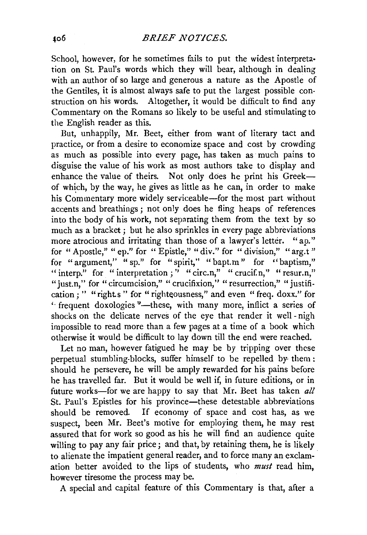School, however, for he sometimes fails to put the widest interpretation on St. Paul's words which they will bear, although in dealing with an author of so large and generous a nature as the Apostle of the Gentiles, it is almost always safe to put the largest possible construction on his words. Altogether, it would be difficult to find any Commentary on the Romans so likely to be useful and stimulating to the English reader as this.

But, unhappily, Mr. Beet, either from want of literary tact and practice, or from a desire to economize space and cost by crowding as much as possible into every page, has taken as much pains to disguise the value of his work as most authors take to display and enhance the value of theirs. Not only does he print his Greekof which, by the way, he gives as little as he can, in order to make his Commentary more widely serviceable—for the most part without accents and breathings ; not only does he fling heaps of references into the body of his work, not separating them from the text by so much as a bracket; but he also sprinkles in every page abbreviations more atrocious and irritating than those of a lawyer's letter. "ap." for "Apostle," "ep." for "Epistle," "div." for "division," "arg.t" for "argument," "sp." for "spirit," "bapt.m" for "baptism," " interp." for "interpretation;" "circ.n," "crucif.n," "resur.n," "just.n," for "circumcision," "crucifixion," "resurrection," "justification;" "rights" for "righteousness," and even "freq. doxx." for " frequent doxologies "-these, with many more, inflict a series of shocks on the delicate nerves of the eye that render it well - nigh impossible to read more than a few pages at a time of a book which otherwise it would be difficult to lay down till the end were reached.

Let no man, however fatigued he may be by tripping over these perpetual stumbling-blocks, suffer himself to be repelled by them : should he persevere, he will be amply rewarded for his pains before he has travelled far. But it would be well if, in future editions, or in future works-for we are happy to say that Mr. Beet has taken *all* St. Paul's Epistles for his province—these detestable abbreviations should be removed. If economy of space and cost has, as we suspect, been Mr. Beet's motive for employing them, he may rest assured that for work so good as his he will find an audience quite willing to pay any fair price; and that, by retaining them, he is likely to alienate the impatient general reader, and to force many an exclamation better avoided to the lips of students, who *must* read him, however tiresome the process may be.

A special and capital feature of this Commentary is that, after a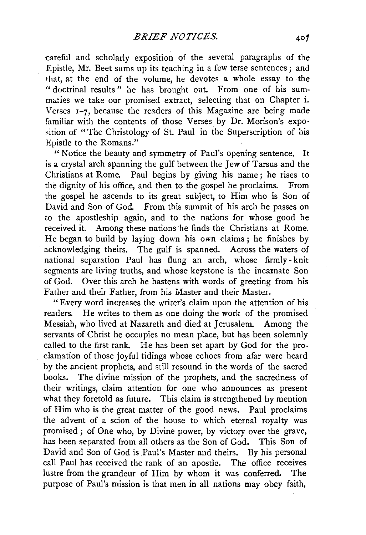careful and scholarly exposition of the several paragraphs of the Epistle, Mr. Beet sums up its teaching in a few terse sentences; and that, at the end of the volume, he devotes a whole essay to the " doctrinal results " he has brought out. From one of his summaties we take our promised extract, selecting that on Chapter i. Verses 1-7, because the readers of this Magazine are being made familiar with the contents of those Verses by Dr. Morison's exposition of "The Christology of St. Paul in the Superscription of his Epistle to the Romans."

*1'* Notice the beauty and symmetry of Paul's opening sentence. It is a crystal arch spanning the gulf between the Jew of Tarsus and the Christians at Rome. Paul begins by giving his name; he rises to the dignity of his office, and then to the gospel he proclaims. From the gospel he ascends to its great subject, to Him who is Son of David and Son of God. From this summit of his arch he passes on to the apostleship again, and to the nations for whose good he received it. Among these nations he finds the Christians at Rome. He began to build by laying down his own claims ; he finishes by acknowledging theirs. The gulf is spanned. Across the waters of national separation Paul has flung an arch, whose firmly - knit segments are living truths, and whose keystone is the incarnate Son of God. Over this arch he hastens with words of greeting from his Father and their Father, from his Master and their Master.

"Every word increases the writer's claim upon the attention of his readers. He writes to them as one doing the work of the promised Messiah, who lived at Nazareth and died at Jerusalem. Among the servants of Christ he occupies no mean place, but has been solemnly called to the first rank. He has been set apart by God for the proclamation of those joyful tidings whose echoes from afar were heard by the ancient prophets, and still resound in the words of the sacred books. The divine mission of the prophets, and the sacredness of their writings, claim attention for one who announces as present what they foretold as future. This claim is strengthened by mention of Him who is the great matter of the good news. Paul proclaims the advent of a scion of the house to which eternal royalty was promised; of One who, by Divine power, by victory over the grave, has been separated from all others as the Son of God. This Son of David and Son of God is Paul's Master and theirs. By his personal call Paul has received the rank of an apostle. The office receives lustre from the grandeur of Him by whom it was conferred. The purpose of Paul's mission is that men in all nations may obey faith,